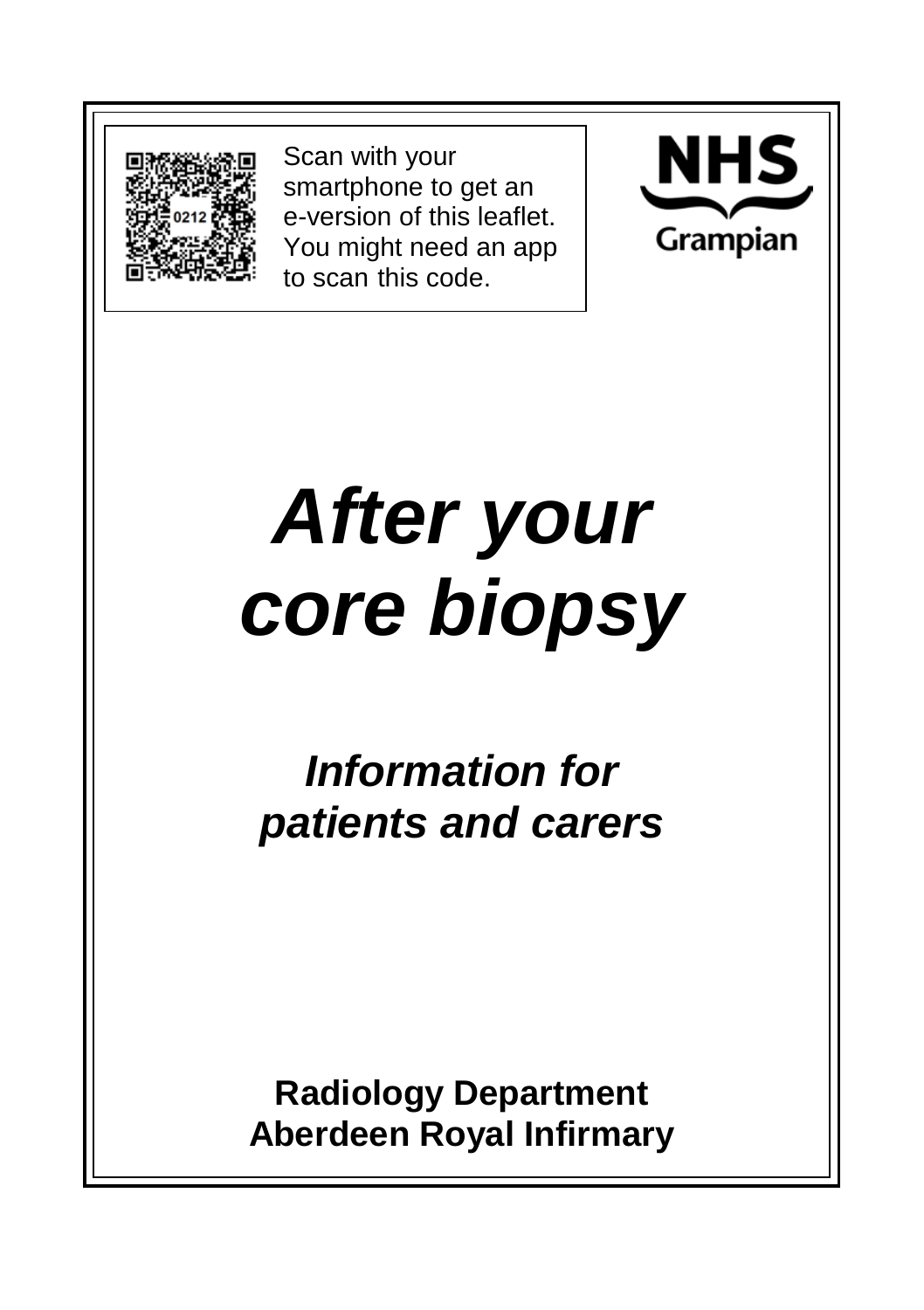

Scan with your smartphone to get an e-version of this leaflet. You might need an app to scan this code.



# *After your core biopsy*

*Information for patients and carers*

**Radiology Department Aberdeen Royal Infirmary**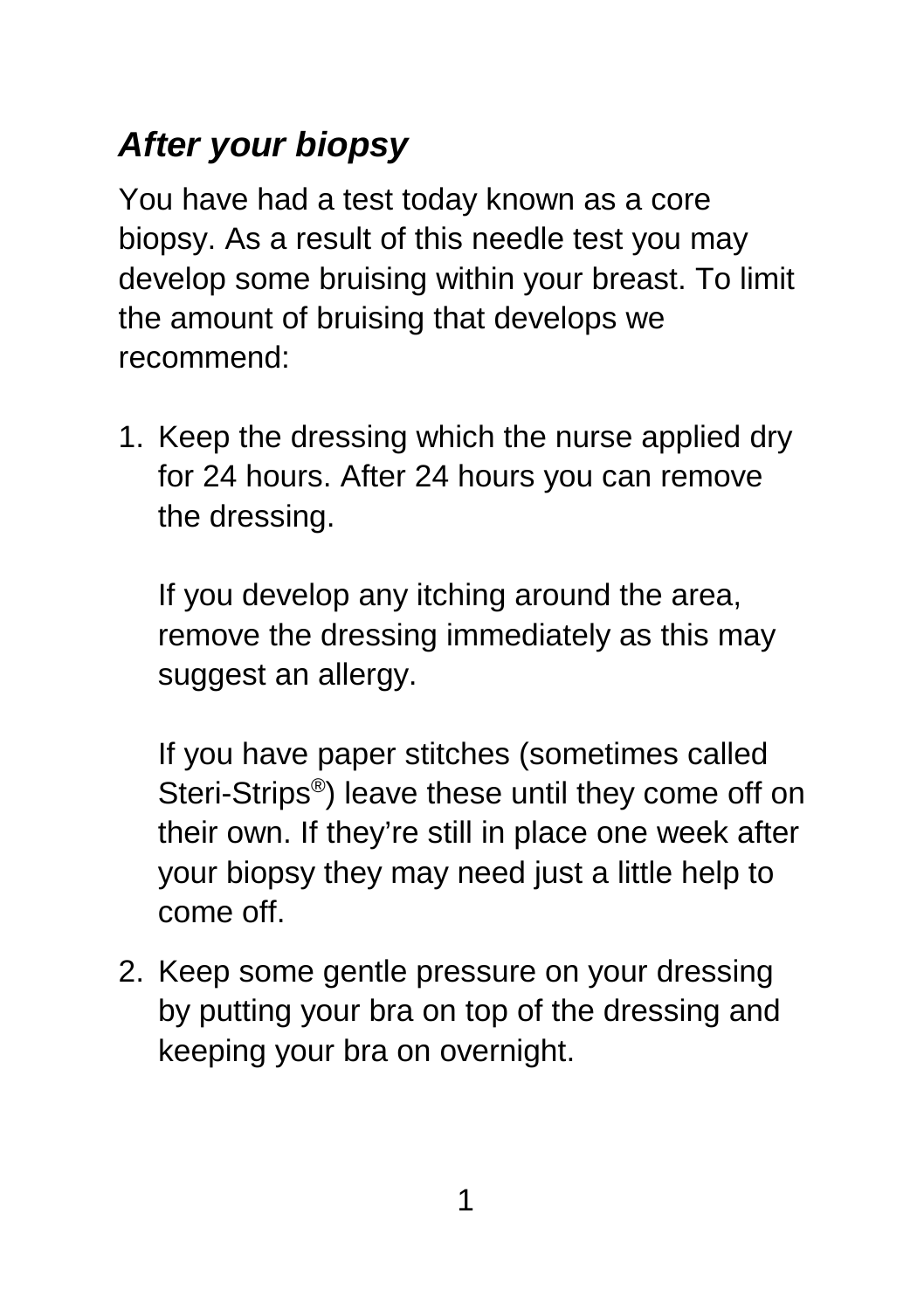## *After your biopsy*

You have had a test today known as a core biopsy. As a result of this needle test you may develop some bruising within your breast. To limit the amount of bruising that develops we recommend:

1. Keep the dressing which the nurse applied dry for 24 hours. After 24 hours you can remove the dressing.

If you develop any itching around the area, remove the dressing immediately as this may suggest an allergy.

If you have paper stitches (sometimes called Steri-Strips®) leave these until they come off on their own. If they're still in place one week after your biopsy they may need just a little help to come off.

2. Keep some gentle pressure on your dressing by putting your bra on top of the dressing and keeping your bra on overnight.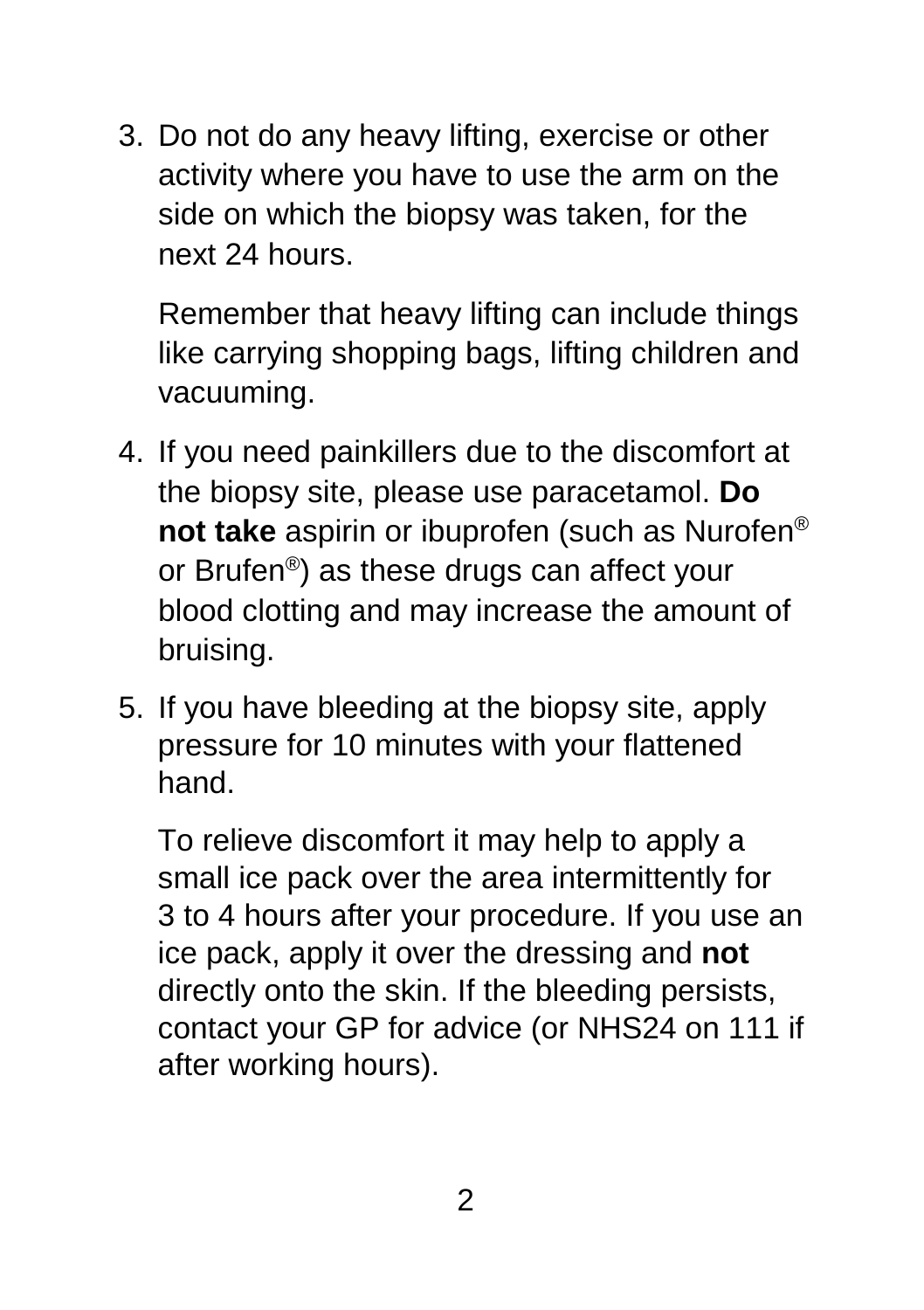3. Do not do any heavy lifting, exercise or other activity where you have to use the arm on the side on which the biopsy was taken, for the next 24 hours.

Remember that heavy lifting can include things like carrying shopping bags, lifting children and vacuuming.

- 4. If you need painkillers due to the discomfort at the biopsy site, please use paracetamol. **Do not take** aspirin or ibuprofen (such as Nurofen® or Brufen®) as these drugs can affect your blood clotting and may increase the amount of bruising.
- 5. If you have bleeding at the biopsy site, apply pressure for 10 minutes with your flattened hand.

To relieve discomfort it may help to apply a small ice pack over the area intermittently for 3 to 4 hours after your procedure. If you use an ice pack, apply it over the dressing and **not** directly onto the skin. If the bleeding persists, contact your GP for advice (or NHS24 on 111 if after working hours).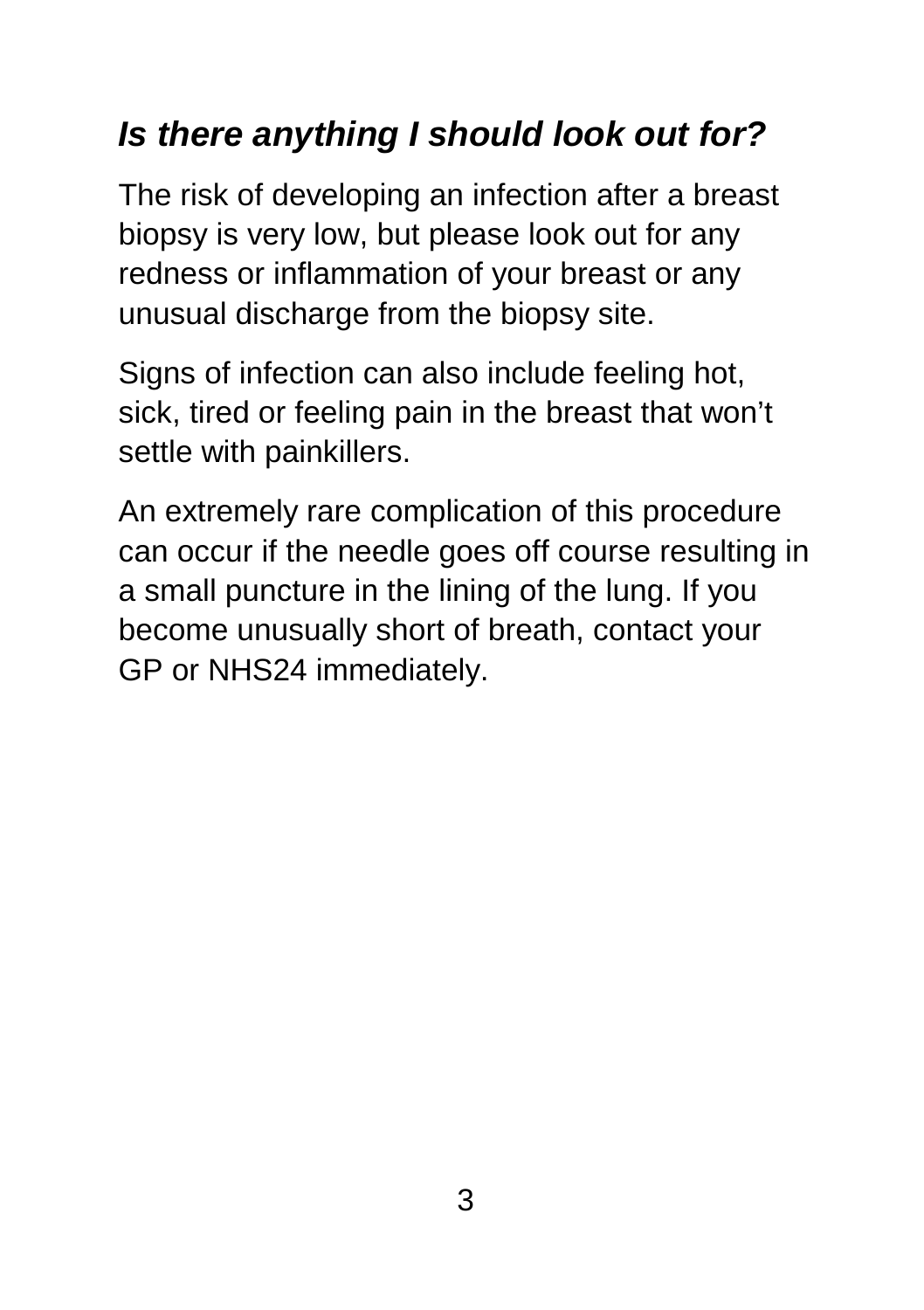### *Is there anything I should look out for?*

The risk of developing an infection after a breast biopsy is very low, but please look out for any redness or inflammation of your breast or any unusual discharge from the biopsy site.

Signs of infection can also include feeling hot, sick, tired or feeling pain in the breast that won't settle with painkillers.

An extremely rare complication of this procedure can occur if the needle goes off course resulting in a small puncture in the lining of the lung. If you become unusually short of breath, contact your GP or NHS24 immediately.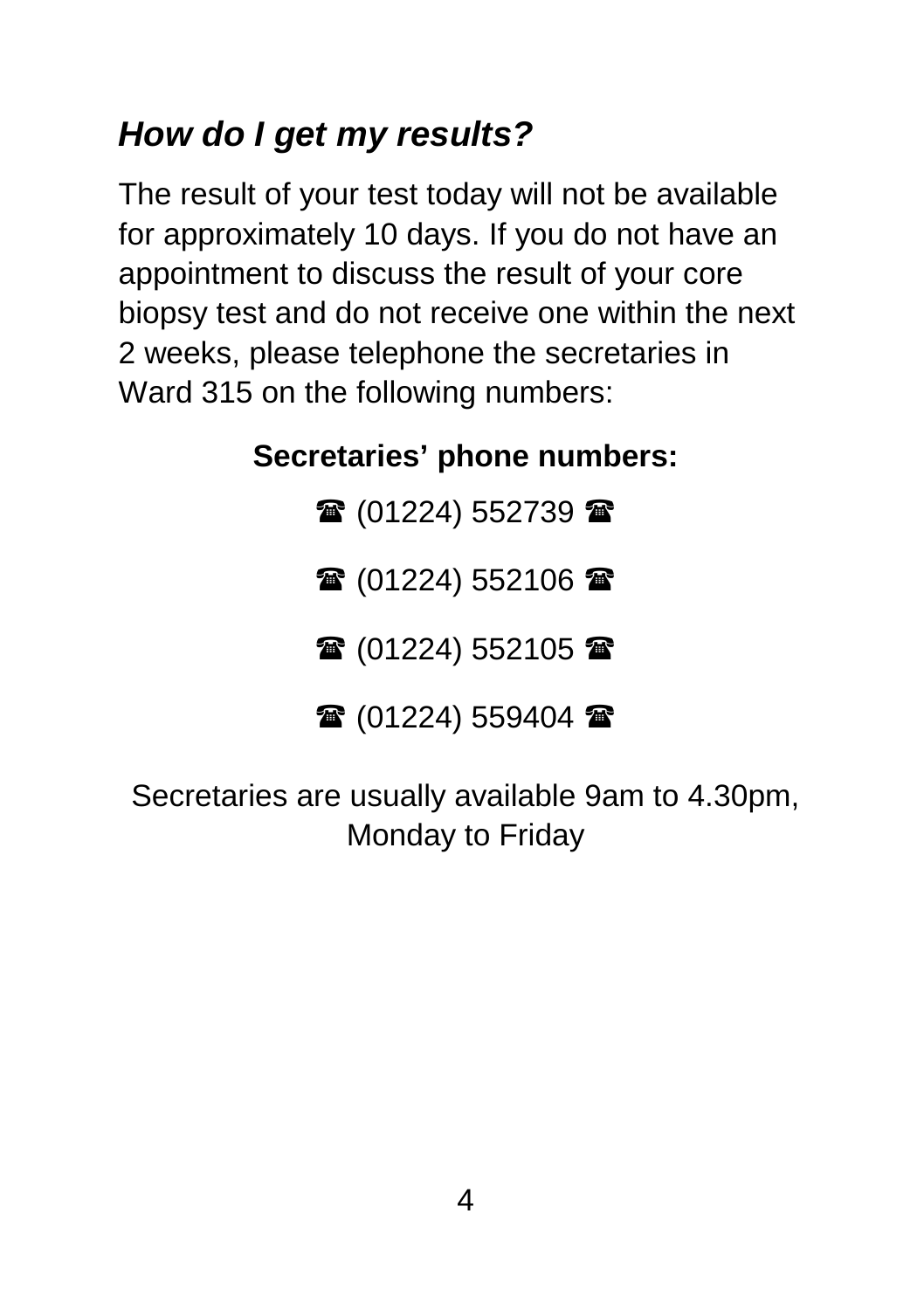#### *How do I get my results?*

The result of your test today will not be available for approximately 10 days. If you do not have an appointment to discuss the result of your core biopsy test and do not receive one within the next 2 weeks, please telephone the secretaries in Ward 315 on the following numbers:

#### **Secretaries' phone numbers:**

 $\mathbf{\mathcal{F}}$  (01224) 552739 $\mathbf{\mathcal{F}}$ 

雷(01224) 552106 雷

雷 (01224) 552105 雷

雷 (01224) 559404 雷

Secretaries are usually available 9am to 4.30pm, Monday to Friday